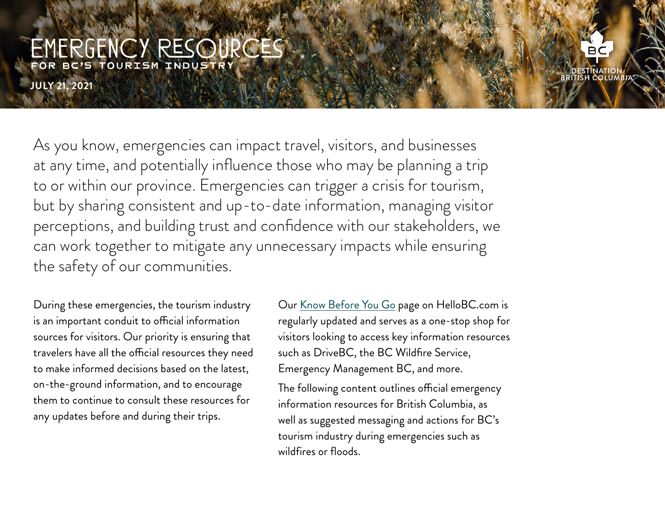**JULY 21, 2021**

As you know, emergencies can impact travel, visitors, and businesses at any time, and potentially influence those who may be planning a trip to or within our province. Emergencies can trigger a crisis for tourism, but by sharing consistent and up-to-date information, managing visitor perceptions, and building trust and confidence with our stakeholders, we can work together to mitigate any unnecessary impacts while ensuring the safety of our communities.

During these emergencies, the tourism industry is an important conduit to official information sources for visitors. Our priority is ensuring that travelers have all the official resources they need to make informed decisions based on the latest, on-the-ground information, and to encourage them to continue to consult these resources for any updates before and during their trips.

Our [Know Before You Go](https://www.hellobc.com/know-before-you-go) page on HelloBC.com is regularly updated and serves as a one-stop shop for visitors looking to access key information resources such as DriveBC, the BC Wildfire Service, Emergency Management BC, and more.

The following content outlines official emergency information resources for British Columbia, as well as suggested messaging and actions for BC's tourism industry during emergencies such as wildfires or floods.

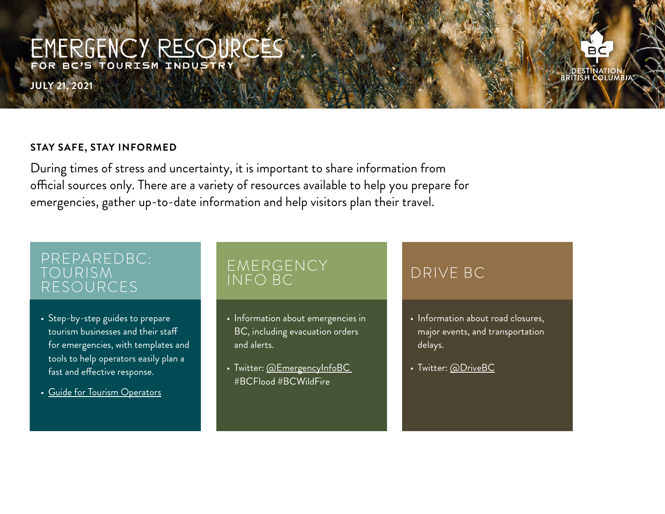**JULY 21, 2021**

#### **STAY SAFE, STAY INFORMED**

During times of stress and uncertainty, it is important to share information from official sources only. There are a variety of resources available to help you prepare for emergencies, gather up-to-date information and help visitors plan their travel.

### PREPAREDBC: TOURISM RESOURCES

- Step-by-step guides to prepare tourism businesses and their staff for emergencies, with templates and tools to help operators easily plan a fast and effective response.
- [Guide for Tourism Operators](https://www2.gov.bc.ca/assets/gov/public-safety-and-emergency-services/emergency-preparedness-response-recovery/embc/preparedbc/preparedbc-guides/preparedbc_tourism_guide.pdf)

## EMERGENCY INFO BC

- Information about emergencies in BC, including evacuation orders and alerts.
- Twitter: [@EmergencyInfoBC](https://twitter.com/EmergencyInfoBC) #BCFlood #BCWildFire

- Information about road closures, major events, and transportation delays.
- Twitter: [@DriveBC](https://twitter.com/DriveBC)

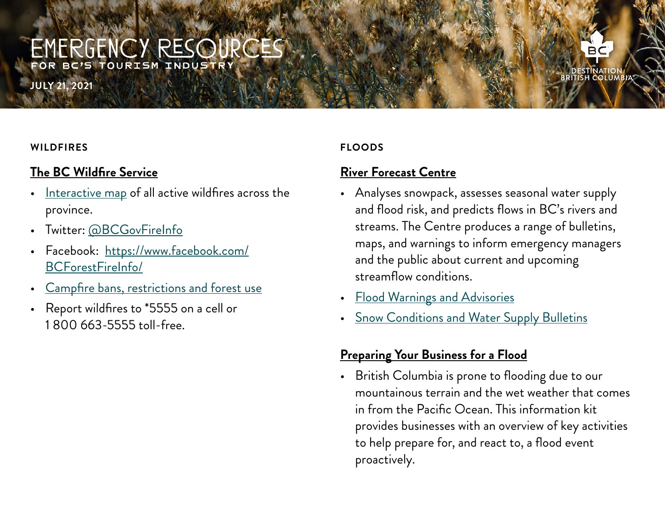**JULY 21, 2021**

#### **WILDFIRES**

### **The BC Wildfire Service**

- [Interactive map](https://governmentofbc.maps.arcgis.com/apps/dashboards/f0ac328d88c74d07aa2ee385abe2a41b) of all active wildfires across the province.
- Twitter: [@BCGovFireInfo](https://twitter.com/BCGovFireInfo)
- Facebook: [https://www.facebook.com/](https://www.facebook.com/BCForestFireInfo/) [BCForestFireInfo/](https://www.facebook.com/BCForestFireInfo/)
- [Campfire bans, restrictions and forest use](http://bcfireinfo.for.gov.bc.ca/hprScripts/WildfireNews/Bans.asp)
- Report wildfires to \*5555 on a cell or 1 800 663-5555 toll-free.

#### **FLOODS**

### **[River Forecast Centre](https://www2.gov.bc.ca/gov/content/environment/air-land-water/water/drought-flooding-dikes-dams/river-forecast-centre)**

• Analyses snowpack, assesses seasonal water supply and flood risk, and predicts flows in BC's rivers and streams. The Centre produces a range of bulletins, maps, and warnings to inform emergency managers and the public about current and upcoming streamflow conditions.

**DESTINATION**<br>BRITISH COLUMBIA

- [Flood Warnings and Advisories](http://bcrfc.env.gov.bc.ca/warnings/index.htm)
- [Snow Conditions and Water Supply Bulletins](https://www2.gov.bc.ca/gov/content/environment/air-land-water/water/drought-flooding-dikes-dams/river-forecast-centre/snow-survey-water-supply-bulletin)

### **[Preparing Your Business for a Flood](https://www2.gov.bc.ca/assets/gov/public-safety-and-emergency-services/emergency-preparedness-response-recovery/embc/preparedbc/preparedbc-guides/preparedbc_flood_preparedness_guide_fillable.pdf)**

• British Columbia is prone to flooding due to our mountainous terrain and the wet weather that comes in from the Pacific Ocean. This information kit provides businesses with an overview of key activities to help prepare for, and react to, a flood event proactively.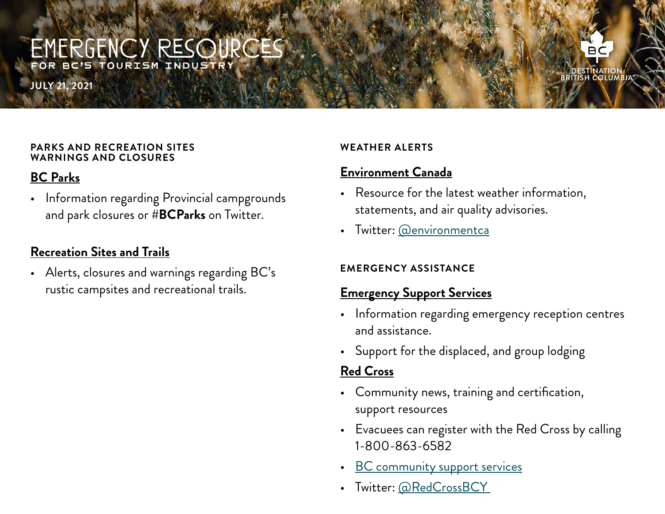**JULY 21, 2021**

#### **PARKS AND RECREATION SITES WARNINGS AND CLOSURES**

### **[BC Parks](https://bcparks.ca/)**

• Information regarding Provincial campgrounds and park closures or **#BCParks** on Twitter.

### **[Recreation Sites and Trails](http://www.sitesandtrailsbc.ca/)**

• Alerts, closures and warnings regarding BC's rustic campsites and recreational trails.

#### **WEATHER ALERTS**

### **[Environment Canada](https://weather.gc.ca/warnings/index_e.html?prov=bc)**

- Resource for the latest weather information, statements, and air quality advisories.
- Twitter: [@environmentca](https://twitter.com/environmentca)

#### **EMERGENCY ASSISTANCE**

### **[Emergency Support Services](https://www2.gov.bc.ca/gov/content/safety/emergency-preparedness-response-recovery/local-emergency-programs/ess)**

- Information regarding emergency reception centres and assistance.
- Support for the displaced, and group lodging

### **[Red Cross](https://www.redcross.ca/)**

- Community news, training and certification, support resources
- Evacuees can register with the Red Cross by calling 1-800-863-6582
- **BC** community support services
- Twitter: [@RedCrossBCY](https://twitter.com/RedCrossBCY)

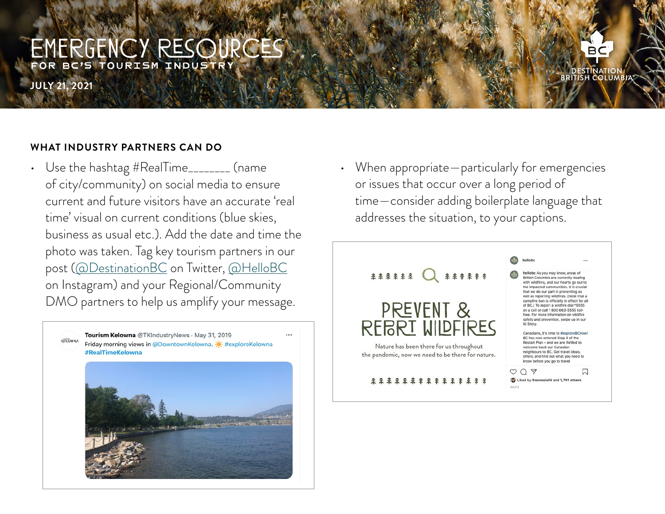**JULY 21, 2021**

#### **WHAT INDUSTRY PARTNERS CAN DO**

• Use the hashtag #RealTime\_\_\_\_\_\_\_\_ (name of city/community) on social media to ensure current and future visitors have an accurate 'real time' visual on current conditions (blue skies, business as usual etc.). Add the date and time the photo was taken. Tag key tourism partners in our post ([@DestinationBC](https://twitter.com/DestinationBC) on Twitter, [@HelloBC](https://www.instagram.com/hellobc/) on Instagram) and your Regional/Community DMO partners to help us amplify your message.



• When appropriate—particularly for emergencies or issues that occur over a long period of time—consider adding boilerplate language that addresses the situation, to your captions.



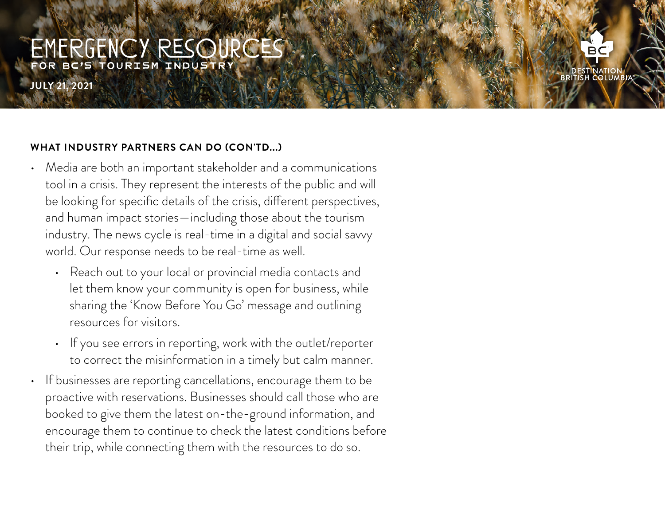**JULY 21, 2021**

#### **WHAT INDUSTRY PARTNERS CAN DO (CON'TD...)**

- Media are both an important stakeholder and a communications tool in a crisis. They represent the interests of the public and will be looking for specific details of the crisis, different perspectives, and human impact stories—including those about the tourism industry. The news cycle is real-time in a digital and social savvy world. Our response needs to be real-time as well.
	- Reach out to your local or provincial media contacts and let them know your community is open for business, while sharing the 'Know Before You Go' message and outlining resources for visitors.
	- If you see errors in reporting, work with the outlet/reporter to correct the misinformation in a timely but calm manner.
- If businesses are reporting cancellations, encourage them to be proactive with reservations. Businesses should call those who are booked to give them the latest on-the-ground information, and encourage them to continue to check the latest conditions before their trip, while connecting them with the resources to do so.

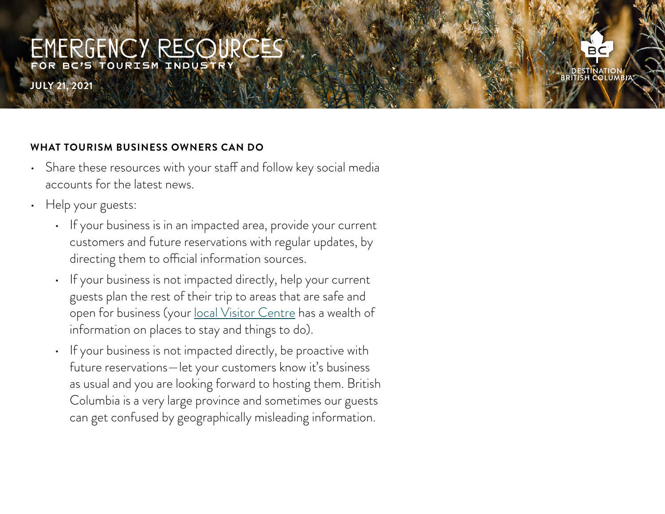**JULY 21, 2021**

#### **WHAT TOURISM BUSINESS OWNERS CAN DO**

- Share these resources with your staff and follow key social media accounts for the latest news.
- Help your guests:
	- If your business is in an impacted area, provide your current customers and future reservations with regular updates, by directing them to official information sources.
	- If your business is not impacted directly, help your current guests plan the rest of their trip to areas that are safe and open for business (your [local Visitor Centre](https://www.hellobc.com/plan-your-trip/visitor-information-services/) has a wealth of information on places to stay and things to do).
	- If your business is not impacted directly, be proactive with future reservations—let your customers know it's business as usual and you are looking forward to hosting them. British Columbia is a very large province and sometimes our guests can get confused by geographically misleading information.

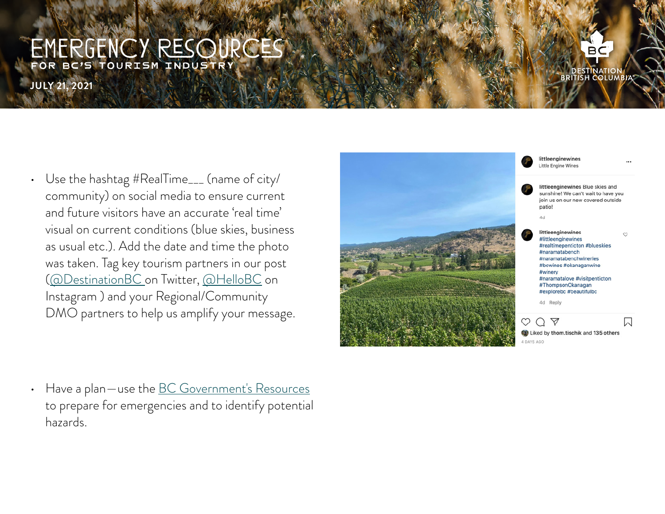**JULY 21, 2021**

- Use the hashtag #RealTime\_\_\_ (name of city/ community) on social media to ensure current and future visitors have an accurate 'real time' visual on current conditions (blue skies, business as usual etc.). Add the date and time the photo was taken. Tag key tourism partners in our post ([@DestinationBC](https://twitter.com/DestinationBC) on Twitter, [@HelloBC](https://www.instagram.com/hellobc/) on Instagram ) and your Regional/Community DMO partners to help us amplify your message.
- 4 DAYS AGO

littleenginewines Little Engine Wines littleenginewines Blue skies and sunshine! We can't wait to have you join us on our new covered outside patio!  $4d$ littleenginewines  $\circ$ #littleenginewines #realtimepenticton #blueskies #naramatabench #naramatabenchwineries #bcwines #okanaganwine #winery #naramatalove #visitpenticton #ThompsonOkanagan #explorebc #beautifulbc 4d Reply  $\circlearrowright$   $\circlearrowright$   $\circlearrowright$ 囗 Liked by thom tischik and 135 others

• Have a plan—use the **[BC Government's Resources](https://www2.gov.bc.ca/gov/content/safety/emergency-preparedness-response-recovery/preparedbc)** to prepare for emergencies and to identify potential hazards.